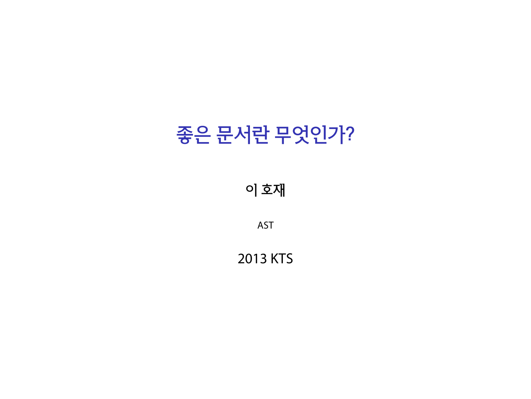# 좋은 문서란 무엇인가?

이 호재

AST

2013 KTS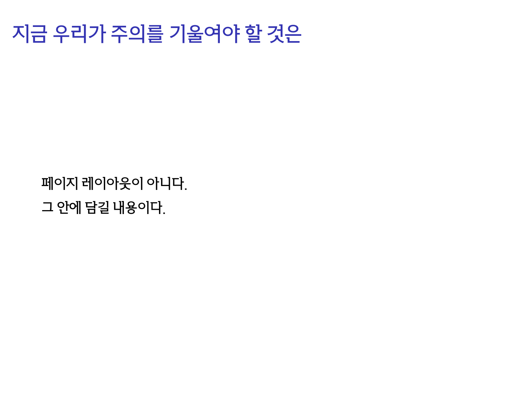#### 페이지 레이아웃이 아니다. 그 안에 담길 내용이다.

#### 지금 우리가 주의를 기울여야 할 것은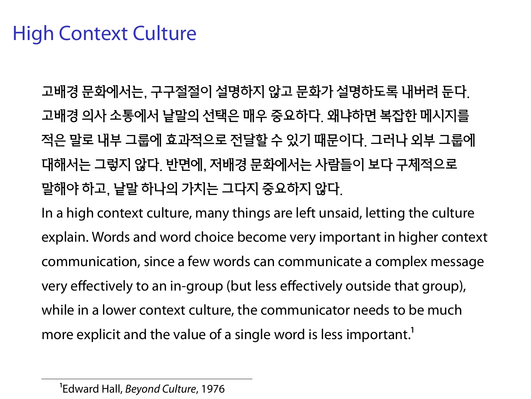#### High Context Culture

고배경 문화에서는, 구구절절이 설명하지 않고 문화가 설명하도록 내버려 둔다. 고배경 의사 소통에서 낱말의 선택은 매우 중요하다. 왜냐하면 복잡한 메시지를 적은 말로 내부 그룹에 효과적으로 전달할 수 있기 때문이다. 그러나 외부 그룹에 대해서는 그렇지 않다. 반면에, 저배경 문화에서는 사람들이 보다 구체적으로 말해야 하고, 낱말 하나의 가치는 그다지 중요하지 않다.

In a high context culture, many things are left unsaid, letting the culture explain. Words and word choice become very important in higher context communication, since a few words can communicate a complex message very effectively to an in-group (but less effectively outside that group), while in a lower context culture, the communicator needs to be much more explicit and the value of a single word is less important.<sup>1</sup>

<sup>&</sup>lt;sup>1</sup>Edward Hall, *Beyond Culture*, 1976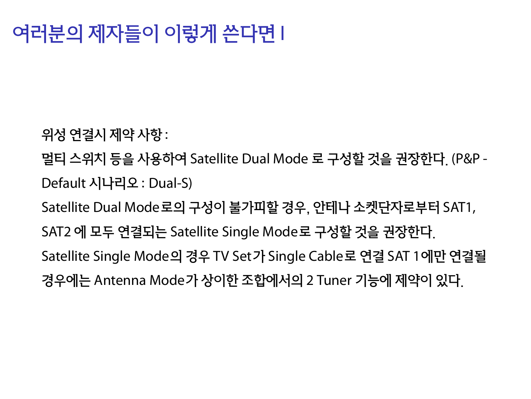## 여러분의 제자들이 이렇게 쓴다면 I

위성 연결시 제약 사항 :

멀티 스위치 등을 사용하여 Satellite Dual Mode 로 구성할 것을 권장한다. (P&P - Default 시나리오 : Dual-S)

Satellite Dual Mode로의 구성이 불가피할 경우, 안테나 소켓단자로부터 SAT1,

SAT2 에 모두 연결되는 Satellite Single Mode로 구성할 것을 권장한다.

Satellite Single Mode의 경우 TV Set가 Single Cable로 연결 SAT 1에만 연결될 경우에는 Antenna Mode가 상이한 조합에서의 2 Tuner 기능에 제약이 있다.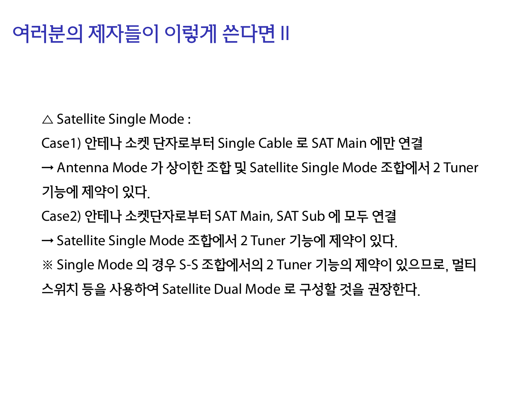# 여러분의 제자들이 이렇게 쓴다면 II

 $\triangle$  Satellite Single Mode :

Case1) 안테나 소켓 단자로부터 Single Cable 로 SAT Main 에만 연결

- → Antenna Mode 가 상이한 조합 및 Satellite Single Mode 조합에서 2 Tuner 기능에 제약이 있다.
- Case2) 안테나 소켓단자로부터 SAT Main, SAT Sub 에 모두 연결
- → Satellite Single Mode 조합에서 2 Tuner 기능에 제약이 있다.
- ※ Single Mode 의 경우 S-S 조합에서의 2 Tuner 기능의 제약이 있으므로, 멀티
- 스위치 등을 사용하여 Satellite Dual Mode 로 구성할 것을 권장한다.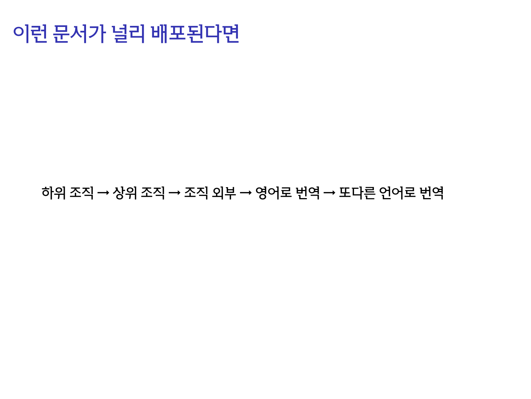#### 이런 문서가 널리 배포된다면

#### 하위 조직 → 상위 조직 → 조직 외부 → 영어로 번역 → 또다른 언어로 번역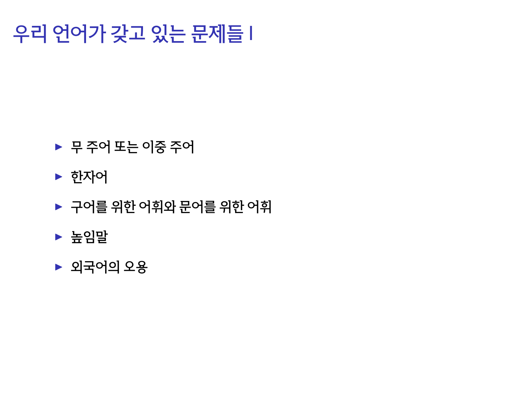# 우리 언어가 갖고 있는 문제들 I

- ▶ 무 주어 또는 이중 주어
- ▶ 한자어
- ▶ 구어를 위한 어휘와 문어를 위한 어휘
- ▶ 높임말
- $\blacktriangleright$  외국어의 오용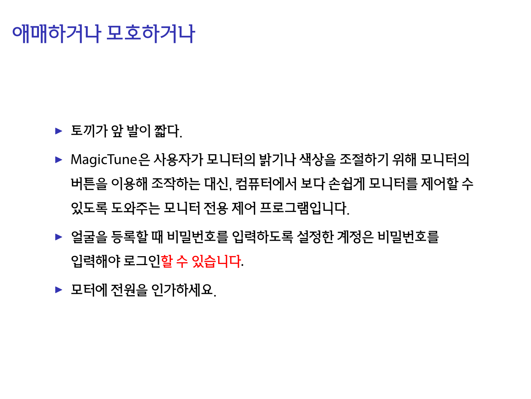### 애매하거나 모호하거나

- ▶ 토끼가 앞 발이 짧다.
- ▶ MagicTune은 사용자가 모니터의 밝기나 색상을 조절하기 위해 모니터의 버튼을 이용해 조작하는 대신, 컴퓨터에서 보다 손쉽게 모니터를 제어할 수 있도록 도와주는 모니터 전용 제어 프로그램입니다.
- ▶ 얼굴을 등록할 때 비밀번호를 입력하도록 설정한 계정은 비밀번호를 입력해야 로그인할 수 있습니다.
- ▶ 모터에 전워을 인가하세요.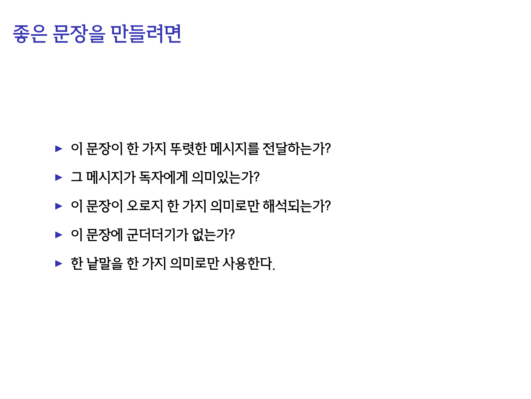# 좋은 문장을 만들려면

- ▶ 이 문장이 한 가지 뚜렷한 메시지를 전달하는가?
- ▶ 그 메시지가 독자에게 의미있는가?
- ▶ 이 문장이 오로지 한 가지 의미로만 해석되는가?
- 
- 
- 

▶ 한 낱말을 한 가지 의미로만 사용한다.

▶ 이 문장에 군더더기가 없는가?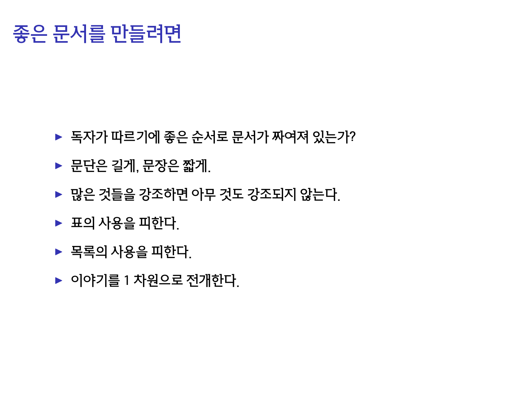# 좋은 문서를 만들려면

- ▶ 독자가 따르기에 좋은 순서로 문서가 짜여져 있는가?
- ▶ 문단은 길게, 문장은 짧게.
- ▶ 많은 것들을 강조하면 아무 것도 강조되지 않는다.
- ▶ 표의 사용을 피한다.
- ▶ 목록의 사용을 피한다.
- ▶ 이야기를 1 차원으로 전개한다.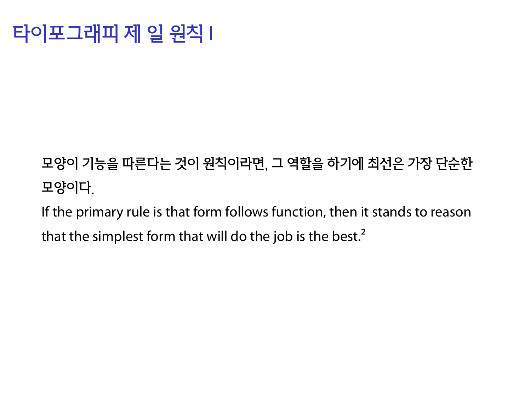### 타이포그래피 제 일 원칙 I

#### 모양이 기능을 따른다는 것이 원칙이라면, 그 역할을 하기에 최선은 가장 단순한 모양이다.

If the primary rule is that form follows function, then it stands to reason that the simplest form that will do the job is the best. $<sup>2</sup>$ </sup>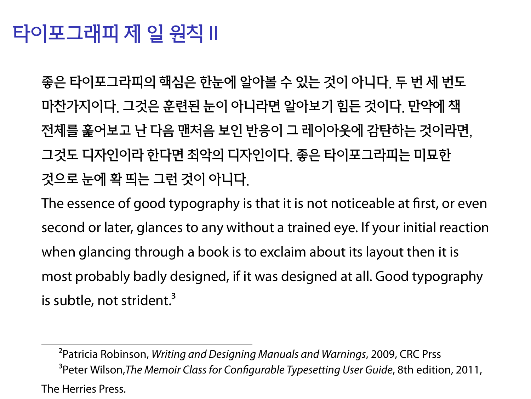#### 타이포그래피 제 일 원칙 II

좋은 타이포그라피의 핵심은 한눈에 알아볼 수 있는 것이 아니다. 두 번 세 번도 마찬가지이다. 그것은 훈련된 눈이 아니라면 알아보기 힘든 것이다. 만약에 책 전체를 훑어보고 난 다음 맨처음 보인 반응이 그 레이아웃에 감탄하는 것이라면, 그것도 디자인이라 한다면 최악의 디자인이다. 좋은 타이포그라피는 미묘한 것으로 눈에 확 띄는 그런 것이 아니다.

The essence of good typography is that it is not noticeable at first, or even second or later, glances to any without a trained eye. If your initial reaction when glancing through a book is to exclaim about its layout then it is most probably badly designed, if it was designed at all. Good typography is subtle, not strident.<sup>3</sup>

<sup>&</sup>lt;sup>2</sup> Patricia Robinson, *Writing and Designing Manuals and Warnings*, 2009, CRC Prss ĨPeter Wilson,*The Memoir Class for Conögurable Typesetting User Guide*, 8th edition, 2011, The Herries Press.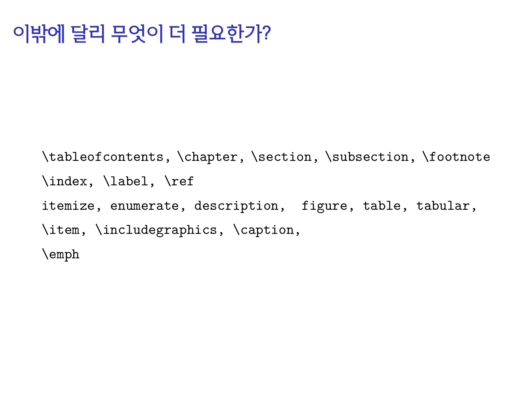### 이밖에 달리 무엇이 더 필요한가?

\tableofcontents, \chapter, \section, \subsection, \footnote \index, \label, \ref itemize, enumerate, description, figure, table, tabular, \item, \includegraphics, \caption, \emph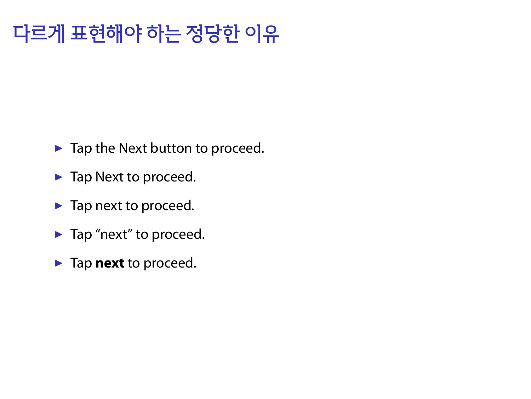# 다르게 표현해야 하는 정당한 이유

- $\blacktriangleright$  Tap the Next button to proceed.
- ▶ Tap Next to proceed.
- ▶ Tap next to proceed.
- ▶ Tap "next" to proceed.
- ▶ Tap **next** to proceed.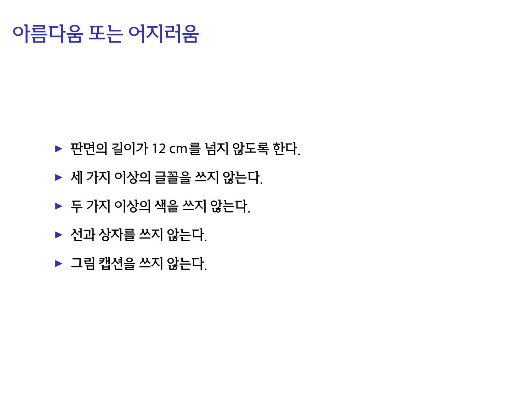#### 아름다움 또는 어지러움

#### ▶ 판면의 길이가 12 cm를 넘지 않도록 한다.

- ▶ 세 가지 이상의 글꼴을 쓰지 않는다.
- ▶ 두 가지 이상의 색을 쓰지 않는다.

▶ 선과 상자를 쓰지 않는다. ▶ 그림 캡션을 쓰지 않는다.

- 
-